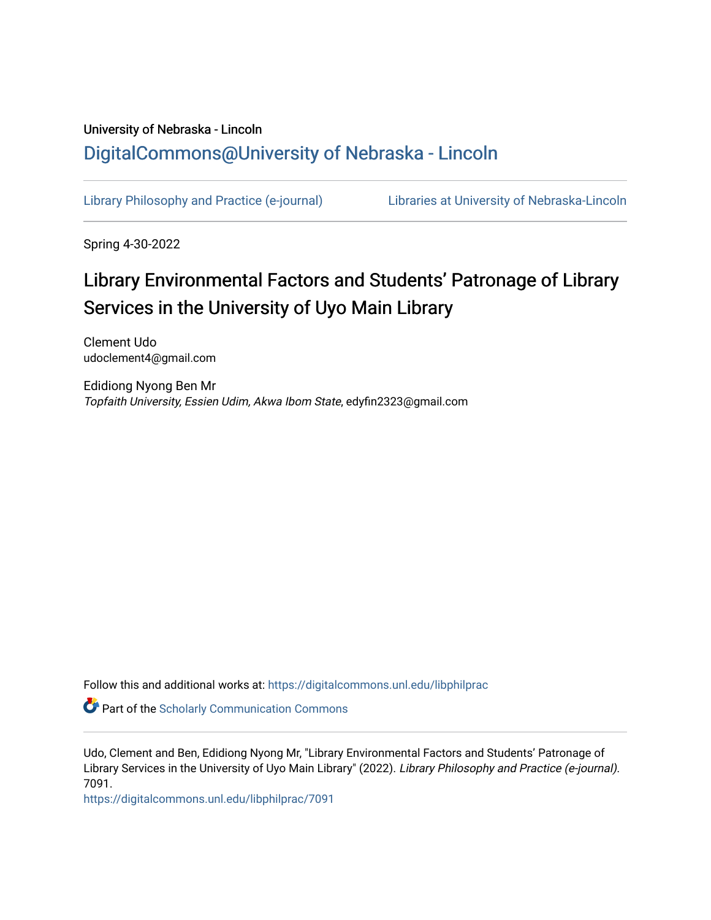## University of Nebraska - Lincoln [DigitalCommons@University of Nebraska - Lincoln](https://digitalcommons.unl.edu/)

[Library Philosophy and Practice \(e-journal\)](https://digitalcommons.unl.edu/libphilprac) [Libraries at University of Nebraska-Lincoln](https://digitalcommons.unl.edu/libraries) 

Spring 4-30-2022

# Library Environmental Factors and Students' Patronage of Library Services in the University of Uyo Main Library

Clement Udo udoclement4@gmail.com

Edidiong Nyong Ben Mr Topfaith University, Essien Udim, Akwa Ibom State, edyfin2323@gmail.com

Follow this and additional works at: [https://digitalcommons.unl.edu/libphilprac](https://digitalcommons.unl.edu/libphilprac?utm_source=digitalcommons.unl.edu%2Flibphilprac%2F7091&utm_medium=PDF&utm_campaign=PDFCoverPages) 

**Part of the Scholarly Communication Commons** 

Udo, Clement and Ben, Edidiong Nyong Mr, "Library Environmental Factors and Students' Patronage of Library Services in the University of Uyo Main Library" (2022). Library Philosophy and Practice (e-journal). 7091.

[https://digitalcommons.unl.edu/libphilprac/7091](https://digitalcommons.unl.edu/libphilprac/7091?utm_source=digitalcommons.unl.edu%2Flibphilprac%2F7091&utm_medium=PDF&utm_campaign=PDFCoverPages)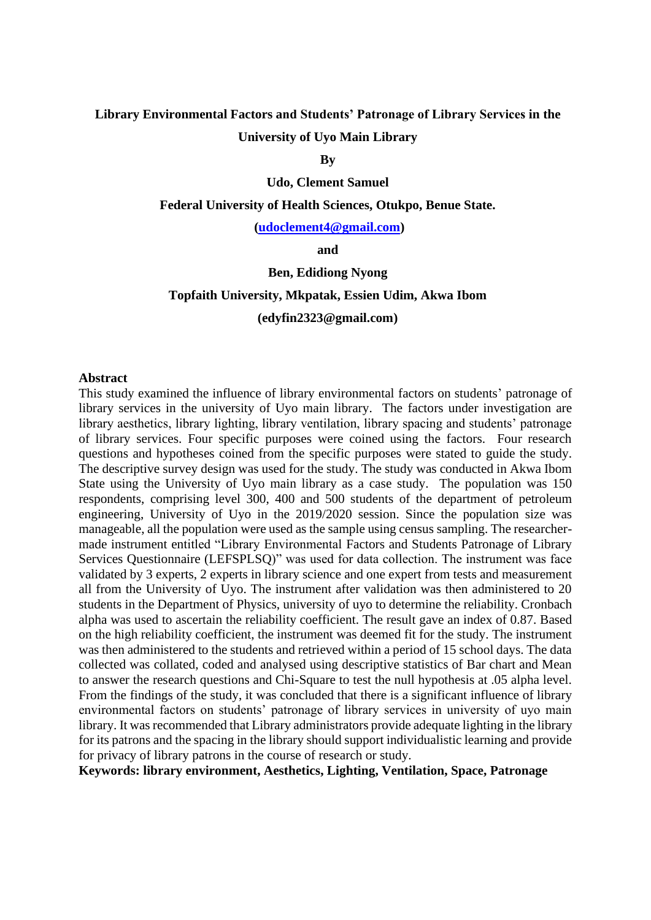## **Library Environmental Factors and Students' Patronage of Library Services in the**

## **University of Uyo Main Library**

**By**

#### **Udo, Clement Samuel**

#### **Federal University of Health Sciences, Otukpo, Benue State.**

#### **[\(udoclement4@gmail.com\)](mailto:udoclement4@gmail.com)**

**and**

#### **Ben, Edidiong Nyong**

## **Topfaith University, Mkpatak, Essien Udim, Akwa Ibom (edyfin2323@gmail.com)**

#### **Abstract**

This study examined the influence of library environmental factors on students' patronage of library services in the university of Uyo main library. The factors under investigation are library aesthetics, library lighting, library ventilation, library spacing and students' patronage of library services. Four specific purposes were coined using the factors. Four research questions and hypotheses coined from the specific purposes were stated to guide the study. The descriptive survey design was used for the study. The study was conducted in Akwa Ibom State using the University of Uyo main library as a case study. The population was 150 respondents, comprising level 300, 400 and 500 students of the department of petroleum engineering, University of Uyo in the 2019/2020 session. Since the population size was manageable, all the population were used as the sample using census sampling. The researchermade instrument entitled "Library Environmental Factors and Students Patronage of Library Services Questionnaire (LEFSPLSQ)" was used for data collection. The instrument was face validated by 3 experts, 2 experts in library science and one expert from tests and measurement all from the University of Uyo. The instrument after validation was then administered to 20 students in the Department of Physics, university of uyo to determine the reliability. Cronbach alpha was used to ascertain the reliability coefficient. The result gave an index of 0.87. Based on the high reliability coefficient, the instrument was deemed fit for the study. The instrument was then administered to the students and retrieved within a period of 15 school days. The data collected was collated, coded and analysed using descriptive statistics of Bar chart and Mean to answer the research questions and Chi-Square to test the null hypothesis at .05 alpha level. From the findings of the study, it was concluded that there is a significant influence of library environmental factors on students' patronage of library services in university of uyo main library. It was recommended that Library administrators provide adequate lighting in the library for its patrons and the spacing in the library should support individualistic learning and provide for privacy of library patrons in the course of research or study.

**Keywords: library environment, Aesthetics, Lighting, Ventilation, Space, Patronage**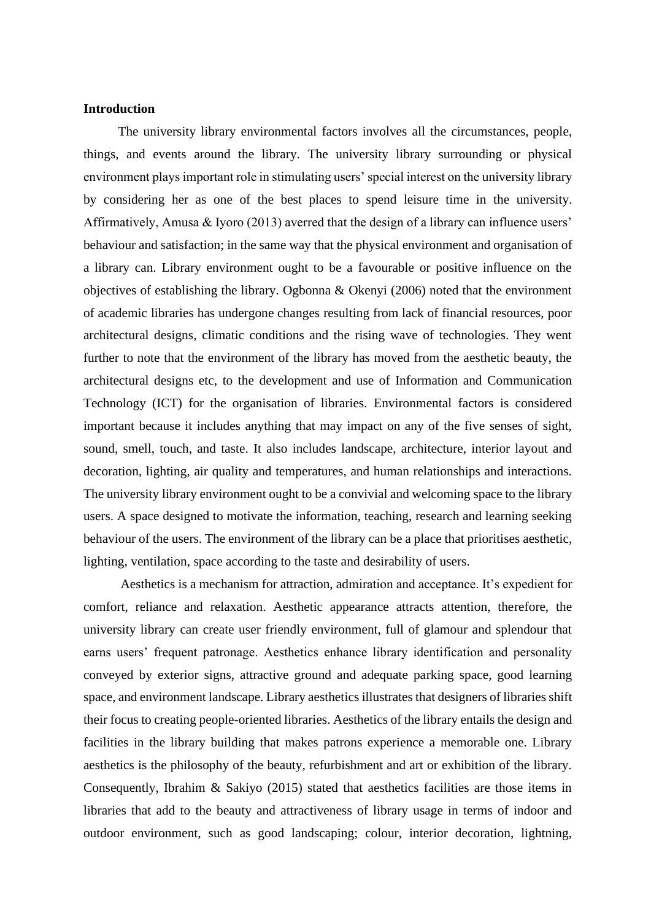## **Introduction**

The university library environmental factors involves all the circumstances, people, things, and events around the library. The university library surrounding or physical environment plays important role in stimulating users' special interest on the university library by considering her as one of the best places to spend leisure time in the university. Affirmatively, Amusa & Iyoro (2013) averred that the design of a library can influence users' behaviour and satisfaction; in the same way that the physical environment and organisation of a library can. Library environment ought to be a favourable or positive influence on the objectives of establishing the library. Ogbonna & Okenyi (2006) noted that the environment of academic libraries has undergone changes resulting from lack of financial resources, poor architectural designs, climatic conditions and the rising wave of technologies. They went further to note that the environment of the library has moved from the aesthetic beauty, the architectural designs etc, to the development and use of Information and Communication Technology (ICT) for the organisation of libraries. Environmental factors is considered important because it includes anything that may impact on any of the five senses of sight, sound, smell, touch, and taste. It also includes landscape, architecture, interior layout and decoration, lighting, air quality and temperatures, and human relationships and interactions. The university library environment ought to be a convivial and welcoming space to the library users. A space designed to motivate the information, teaching, research and learning seeking behaviour of the users. The environment of the library can be a place that prioritises aesthetic, lighting, ventilation, space according to the taste and desirability of users.

 Aesthetics is a mechanism for attraction, admiration and acceptance. It's expedient for comfort, reliance and relaxation. Aesthetic appearance attracts attention, therefore, the university library can create user friendly environment, full of glamour and splendour that earns users' frequent patronage. Aesthetics enhance library identification and personality conveyed by exterior signs, attractive ground and adequate parking space, good learning space, and environment landscape. Library aesthetics illustrates that designers of libraries shift their focus to creating people-oriented libraries. Aesthetics of the library entails the design and facilities in the library building that makes patrons experience a memorable one. Library aesthetics is the philosophy of the beauty, refurbishment and art or exhibition of the library. Consequently, Ibrahim & Sakiyo (2015) stated that aesthetics facilities are those items in libraries that add to the beauty and attractiveness of library usage in terms of indoor and outdoor environment, such as good landscaping; colour, interior decoration, lightning,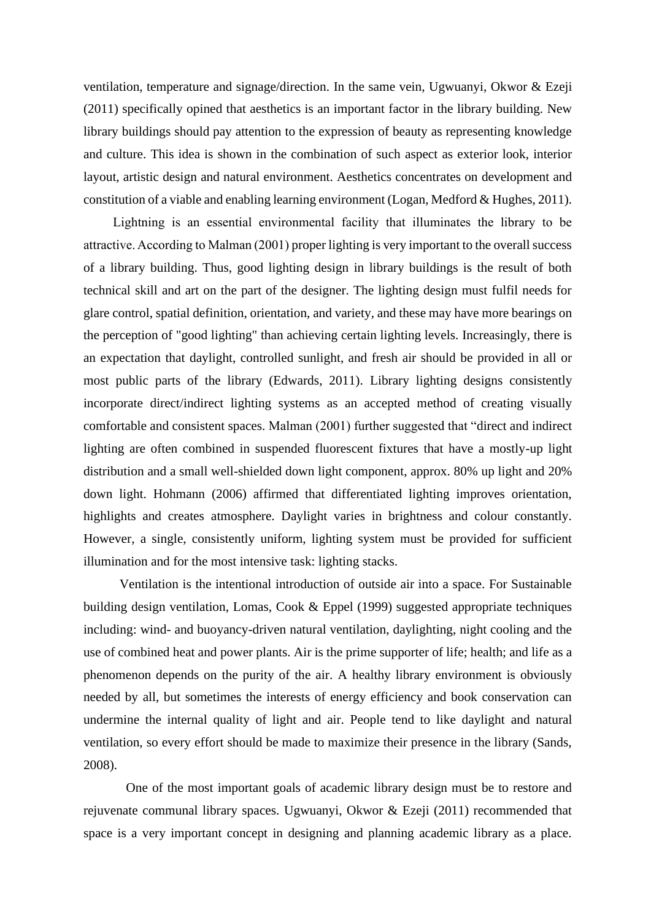ventilation, temperature and signage/direction. In the same vein, Ugwuanyi, Okwor & Ezeji (2011) specifically opined that aesthetics is an important factor in the library building. New library buildings should pay attention to the expression of beauty as representing knowledge and culture. This idea is shown in the combination of such aspect as exterior look, interior layout, artistic design and natural environment. Aesthetics concentrates on development and constitution of a viable and enabling learning environment (Logan, Medford & Hughes, 2011).

 Lightning is an essential environmental facility that illuminates the library to be attractive. According to Malman (2001) proper lighting is very important to the overall success of a library building. Thus, good lighting design in library buildings is the result of both technical skill and art on the part of the designer. The lighting design must fulfil needs for glare control, spatial definition, orientation, and variety, and these may have more bearings on the perception of "good lighting" than achieving certain lighting levels. Increasingly, there is an expectation that daylight, controlled sunlight, and fresh air should be provided in all or most public parts of the library (Edwards, 2011). Library lighting designs consistently incorporate direct/indirect lighting systems as an accepted method of creating visually comfortable and consistent spaces. Malman (2001) further suggested that "direct and indirect lighting are often combined in suspended fluorescent fixtures that have a mostly-up light distribution and a small well-shielded down light component, approx. 80% up light and 20% down light. Hohmann (2006) affirmed that differentiated lighting improves orientation, highlights and creates atmosphere. Daylight varies in brightness and colour constantly. However, a single, consistently uniform, lighting system must be provided for sufficient illumination and for the most intensive task: lighting stacks.

 Ventilation is the intentional introduction of outside air into a space. For Sustainable building design ventilation, Lomas, Cook & Eppel (1999) suggested appropriate techniques including: wind- and buoyancy-driven natural ventilation, daylighting, night cooling and the use of combined heat and power plants. Air is the prime supporter of life; health; and life as a phenomenon depends on the purity of the air. A healthy library environment is obviously needed by all, but sometimes the interests of energy efficiency and book conservation can undermine the internal quality of light and air. People tend to like daylight and natural ventilation, so every effort should be made to maximize their presence in the library (Sands, 2008).

 One of the most important goals of academic library design must be to restore and rejuvenate communal library spaces. Ugwuanyi, Okwor & Ezeji (2011) recommended that space is a very important concept in designing and planning academic library as a place.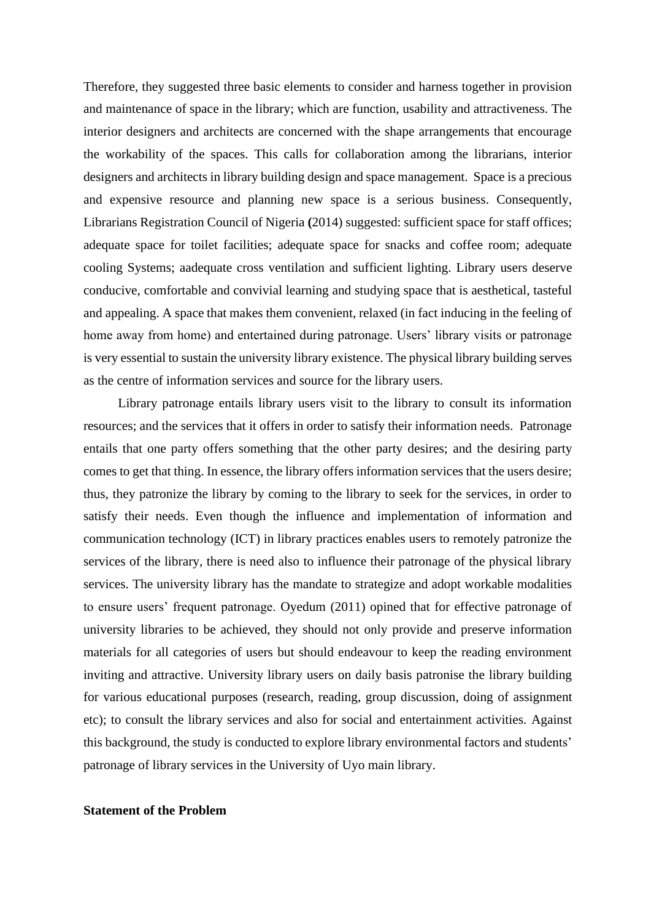Therefore, they suggested three basic elements to consider and harness together in provision and maintenance of space in the library; which are function, usability and attractiveness. The interior designers and architects are concerned with the shape arrangements that encourage the workability of the spaces. This calls for collaboration among the librarians, interior designers and architects in library building design and space management. Space is a precious and expensive resource and planning new space is a serious business. Consequently, Librarians Registration Council of Nigeria **(**2014) suggested: sufficient space for staff offices; adequate space for toilet facilities; adequate space for snacks and coffee room; adequate cooling Systems; aadequate cross ventilation and sufficient lighting. Library users deserve conducive, comfortable and convivial learning and studying space that is aesthetical, tasteful and appealing. A space that makes them convenient, relaxed (in fact inducing in the feeling of home away from home) and entertained during patronage. Users' library visits or patronage is very essential to sustain the university library existence. The physical library building serves as the centre of information services and source for the library users.

Library patronage entails library users visit to the library to consult its information resources; and the services that it offers in order to satisfy their information needs. Patronage entails that one party offers something that the other party desires; and the desiring party comes to get that thing. In essence, the library offers information services that the users desire; thus, they patronize the library by coming to the library to seek for the services, in order to satisfy their needs. Even though the influence and implementation of information and communication technology (ICT) in library practices enables users to remotely patronize the services of the library, there is need also to influence their patronage of the physical library services. The university library has the mandate to strategize and adopt workable modalities to ensure users' frequent patronage. Oyedum (2011) opined that for effective patronage of university libraries to be achieved, they should not only provide and preserve information materials for all categories of users but should endeavour to keep the reading environment inviting and attractive. University library users on daily basis patronise the library building for various educational purposes (research, reading, group discussion, doing of assignment etc); to consult the library services and also for social and entertainment activities. Against this background, the study is conducted to explore library environmental factors and students' patronage of library services in the University of Uyo main library.

#### **Statement of the Problem**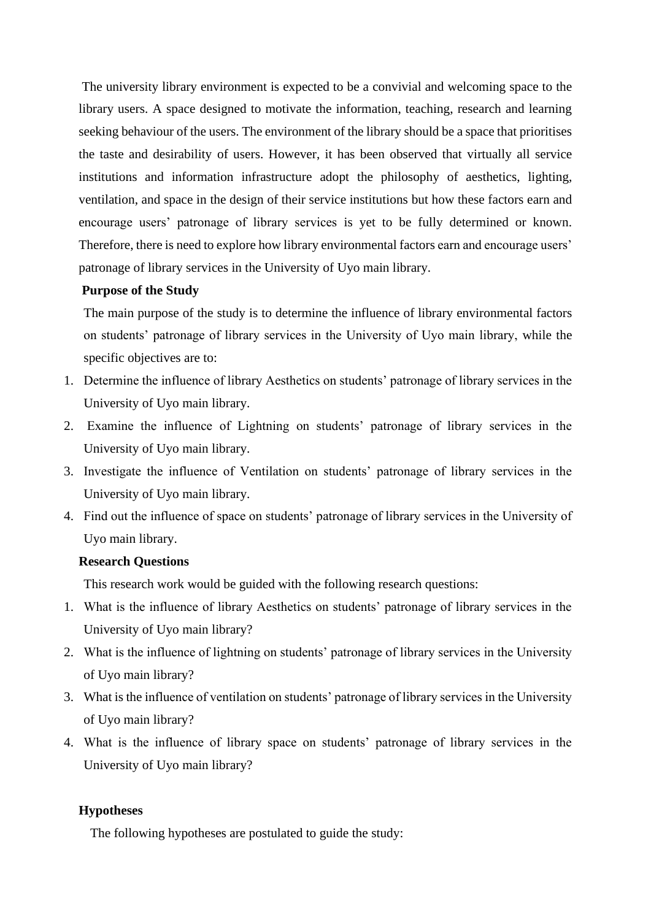The university library environment is expected to be a convivial and welcoming space to the library users. A space designed to motivate the information, teaching, research and learning seeking behaviour of the users. The environment of the library should be a space that prioritises the taste and desirability of users. However, it has been observed that virtually all service institutions and information infrastructure adopt the philosophy of aesthetics, lighting, ventilation, and space in the design of their service institutions but how these factors earn and encourage users' patronage of library services is yet to be fully determined or known. Therefore, there is need to explore how library environmental factors earn and encourage users' patronage of library services in the University of Uyo main library.

#### **Purpose of the Study**

The main purpose of the study is to determine the influence of library environmental factors on students' patronage of library services in the University of Uyo main library, while the specific objectives are to:

- 1. Determine the influence of library Aesthetics on students' patronage of library services in the University of Uyo main library.
- 2. Examine the influence of Lightning on students' patronage of library services in the University of Uyo main library.
- 3. Investigate the influence of Ventilation on students' patronage of library services in the University of Uyo main library.
- 4. Find out the influence of space on students' patronage of library services in the University of Uyo main library.

#### **Research Questions**

This research work would be guided with the following research questions:

- 1. What is the influence of library Aesthetics on students' patronage of library services in the University of Uyo main library?
- 2. What is the influence of lightning on students' patronage of library services in the University of Uyo main library?
- 3. What is the influence of ventilation on students' patronage of library services in the University of Uyo main library?
- 4. What is the influence of library space on students' patronage of library services in the University of Uyo main library?

#### **Hypotheses**

The following hypotheses are postulated to guide the study: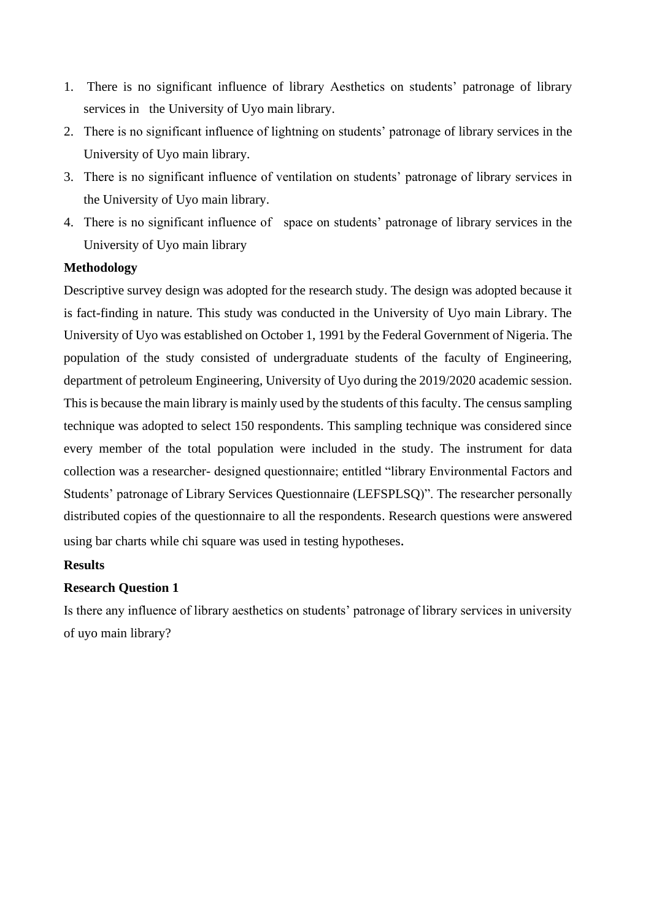- 1. There is no significant influence of library Aesthetics on students' patronage of library services in the University of Uyo main library.
- 2. There is no significant influence of lightning on students' patronage of library services in the University of Uyo main library.
- 3. There is no significant influence of ventilation on students' patronage of library services in the University of Uyo main library.
- 4. There is no significant influence of space on students' patronage of library services in the University of Uyo main library

## **Methodology**

Descriptive survey design was adopted for the research study. The design was adopted because it is fact-finding in nature. This study was conducted in the University of Uyo main Library. The University of Uyo was established on October 1, 1991 by the Federal Government of Nigeria. The population of the study consisted of undergraduate students of the faculty of Engineering, department of petroleum Engineering, University of Uyo during the 2019/2020 academic session. This is because the main library is mainly used by the students of this faculty. The census sampling technique was adopted to select 150 respondents. This sampling technique was considered since every member of the total population were included in the study. The instrument for data collection was a researcher- designed questionnaire; entitled "library Environmental Factors and Students' patronage of Library Services Questionnaire (LEFSPLSQ)". The researcher personally distributed copies of the questionnaire to all the respondents. Research questions were answered using bar charts while chi square was used in testing hypotheses.

## **Results**

## **Research Question 1**

Is there any influence of library aesthetics on students' patronage of library services in university of uyo main library?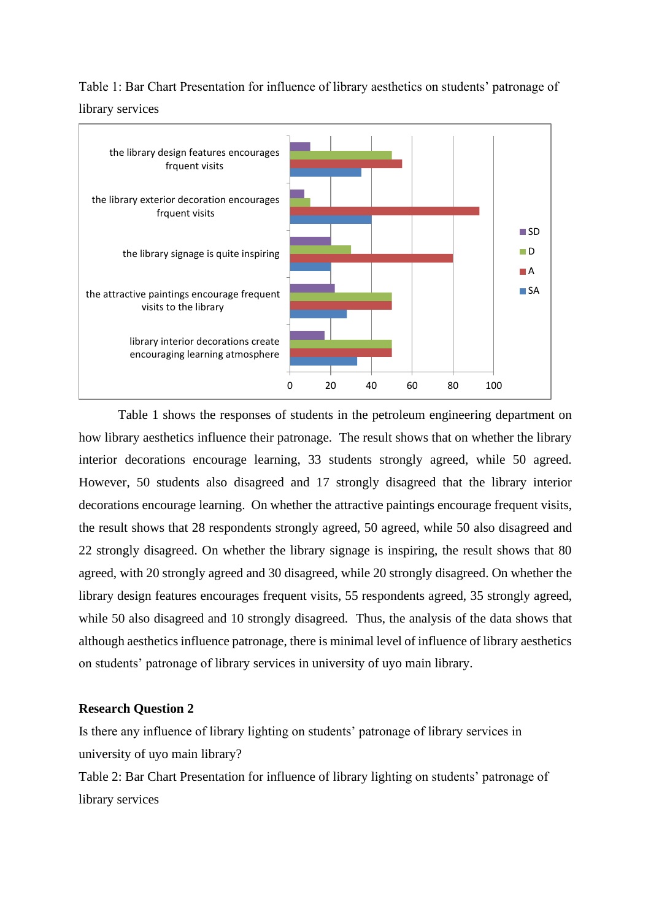## Table 1: Bar Chart Presentation for influence of library aesthetics on students' patronage of library services



Table 1 shows the responses of students in the petroleum engineering department on how library aesthetics influence their patronage. The result shows that on whether the library interior decorations encourage learning, 33 students strongly agreed, while 50 agreed. However, 50 students also disagreed and 17 strongly disagreed that the library interior decorations encourage learning. On whether the attractive paintings encourage frequent visits, the result shows that 28 respondents strongly agreed, 50 agreed, while 50 also disagreed and 22 strongly disagreed. On whether the library signage is inspiring, the result shows that 80 agreed, with 20 strongly agreed and 30 disagreed, while 20 strongly disagreed. On whether the library design features encourages frequent visits, 55 respondents agreed, 35 strongly agreed, while 50 also disagreed and 10 strongly disagreed. Thus, the analysis of the data shows that although aesthetics influence patronage, there is minimal level of influence of library aesthetics on students' patronage of library services in university of uyo main library.

## **Research Question 2**

Is there any influence of library lighting on students' patronage of library services in university of uyo main library?

Table 2: Bar Chart Presentation for influence of library lighting on students' patronage of library services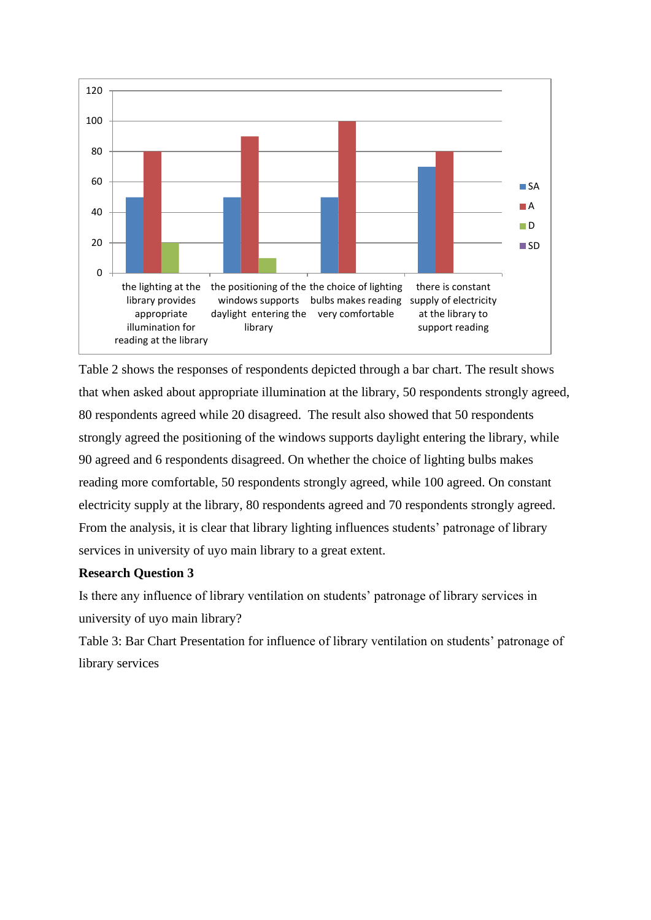

Table 2 shows the responses of respondents depicted through a bar chart. The result shows that when asked about appropriate illumination at the library, 50 respondents strongly agreed, 80 respondents agreed while 20 disagreed. The result also showed that 50 respondents strongly agreed the positioning of the windows supports daylight entering the library, while 90 agreed and 6 respondents disagreed. On whether the choice of lighting bulbs makes reading more comfortable, 50 respondents strongly agreed, while 100 agreed. On constant electricity supply at the library, 80 respondents agreed and 70 respondents strongly agreed. From the analysis, it is clear that library lighting influences students' patronage of library services in university of uyo main library to a great extent.

## **Research Question 3**

Is there any influence of library ventilation on students' patronage of library services in university of uyo main library?

Table 3: Bar Chart Presentation for influence of library ventilation on students' patronage of library services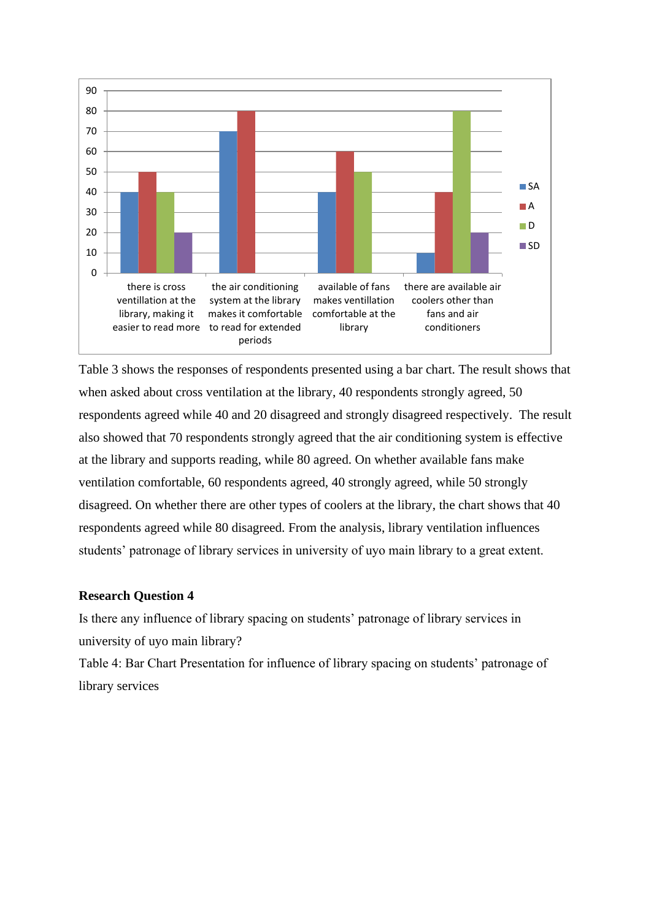

Table 3 shows the responses of respondents presented using a bar chart. The result shows that when asked about cross ventilation at the library, 40 respondents strongly agreed, 50 respondents agreed while 40 and 20 disagreed and strongly disagreed respectively. The result also showed that 70 respondents strongly agreed that the air conditioning system is effective at the library and supports reading, while 80 agreed. On whether available fans make ventilation comfortable, 60 respondents agreed, 40 strongly agreed, while 50 strongly disagreed. On whether there are other types of coolers at the library, the chart shows that 40 respondents agreed while 80 disagreed. From the analysis, library ventilation influences students' patronage of library services in university of uyo main library to a great extent.

## **Research Question 4**

Is there any influence of library spacing on students' patronage of library services in university of uyo main library?

Table 4: Bar Chart Presentation for influence of library spacing on students' patronage of library services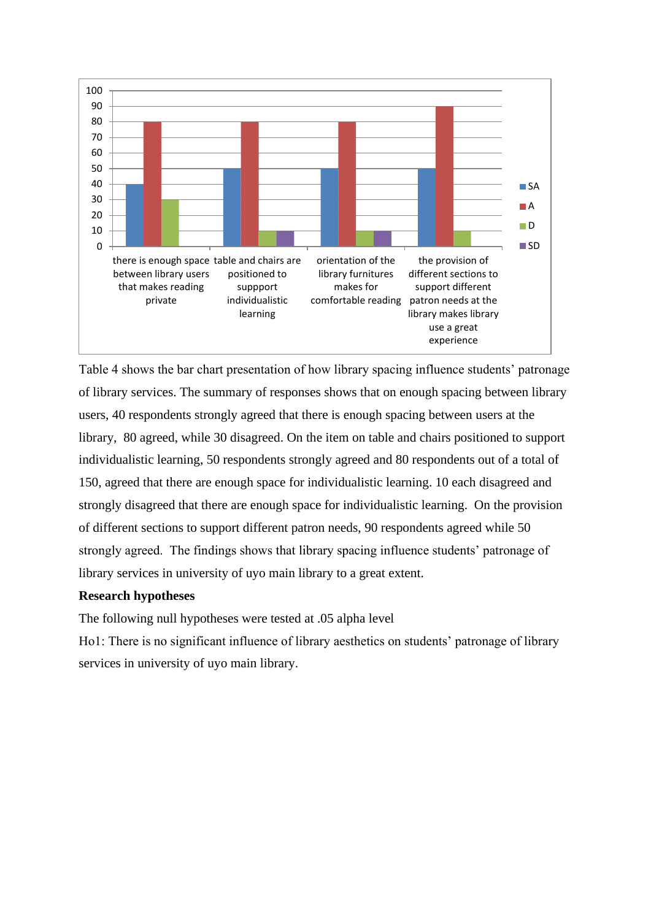

Table 4 shows the bar chart presentation of how library spacing influence students' patronage of library services. The summary of responses shows that on enough spacing between library users, 40 respondents strongly agreed that there is enough spacing between users at the library, 80 agreed, while 30 disagreed. On the item on table and chairs positioned to support individualistic learning, 50 respondents strongly agreed and 80 respondents out of a total of 150, agreed that there are enough space for individualistic learning. 10 each disagreed and strongly disagreed that there are enough space for individualistic learning. On the provision of different sections to support different patron needs, 90 respondents agreed while 50 strongly agreed. The findings shows that library spacing influence students' patronage of library services in university of uyo main library to a great extent.

## **Research hypotheses**

The following null hypotheses were tested at .05 alpha level

Ho1: There is no significant influence of library aesthetics on students' patronage of library services in university of uyo main library.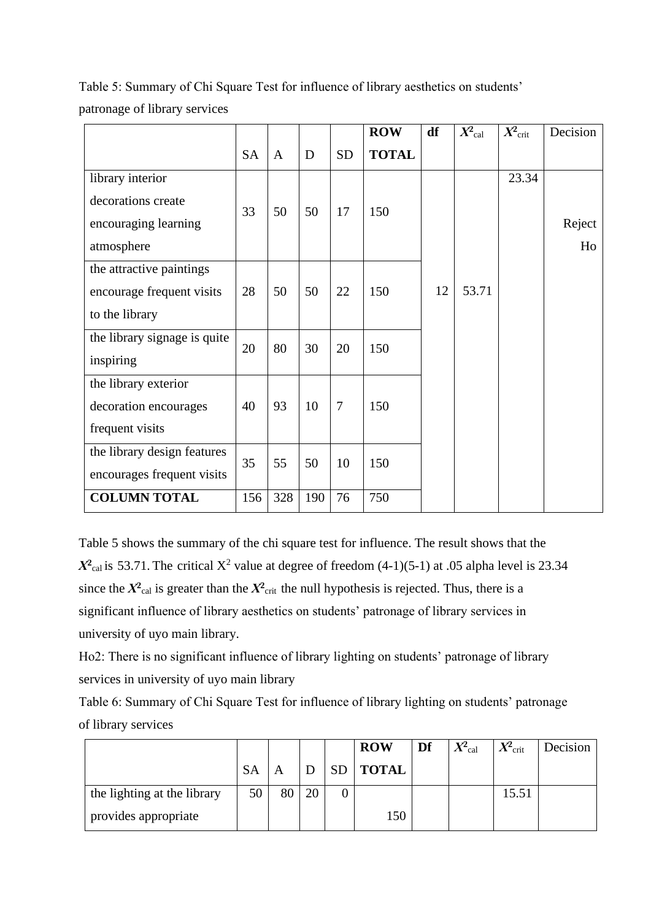Table 5: Summary of Chi Square Test for influence of library aesthetics on students' patronage of library services

|                              |           |              |     |                | <b>ROW</b>   | df | $X^2$ cal | $X^2$ crit | Decision |
|------------------------------|-----------|--------------|-----|----------------|--------------|----|-----------|------------|----------|
|                              | <b>SA</b> | $\mathbf{A}$ | D   | <b>SD</b>      | <b>TOTAL</b> |    |           |            |          |
| library interior             |           |              |     |                |              |    |           | 23.34      |          |
| decorations create           | 33        | 50           | 50  | 17             | 150          |    |           |            |          |
| encouraging learning         |           |              |     |                |              |    |           |            | Reject   |
| atmosphere                   |           |              |     |                |              |    |           |            | Ho       |
| the attractive paintings     |           |              |     |                |              |    |           |            |          |
| encourage frequent visits    | 28        | 50           | 50  | 22             | 150          | 12 | 53.71     |            |          |
| to the library               |           |              |     |                |              |    |           |            |          |
| the library signage is quite | 20        | 80           | 30  | 20             | 150          |    |           |            |          |
| inspiring                    |           |              |     |                |              |    |           |            |          |
| the library exterior         |           |              |     |                |              |    |           |            |          |
| decoration encourages        | 40        | 93           | 10  | $\overline{7}$ | 150          |    |           |            |          |
| frequent visits              |           |              |     |                |              |    |           |            |          |
| the library design features  | 35        | 55           | 50  | 10             | 150          |    |           |            |          |
| encourages frequent visits   |           |              |     |                |              |    |           |            |          |
| <b>COLUMN TOTAL</b>          | 156       | 328          | 190 | 76             | 750          |    |           |            |          |

Table 5 shows the summary of the chi square test for influence. The result shows that the  $X^2$ <sub>cal</sub> is 53.71. The critical  $X^2$  value at degree of freedom (4-1)(5-1) at .05 alpha level is 23.34 since the  $X^2$ <sub>cal</sub> is greater than the  $X^2$ <sub>crit</sub> the null hypothesis is rejected. Thus, there is a significant influence of library aesthetics on students' patronage of library services in university of uyo main library.

Ho2: There is no significant influence of library lighting on students' patronage of library services in university of uyo main library

Table 6: Summary of Chi Square Test for influence of library lighting on students' patronage of library services

|                             |           |    |    | <b>ROW</b>   | Df | $X_{\rm cal}^{\!2}$ | $X^2$ crit | Decision |
|-----------------------------|-----------|----|----|--------------|----|---------------------|------------|----------|
|                             | <b>SA</b> | Α  |    | <b>TOTAL</b> |    |                     |            |          |
| the lighting at the library | 50        | 80 | 20 |              |    |                     | 15.51      |          |
| provides appropriate        |           |    |    | 150          |    |                     |            |          |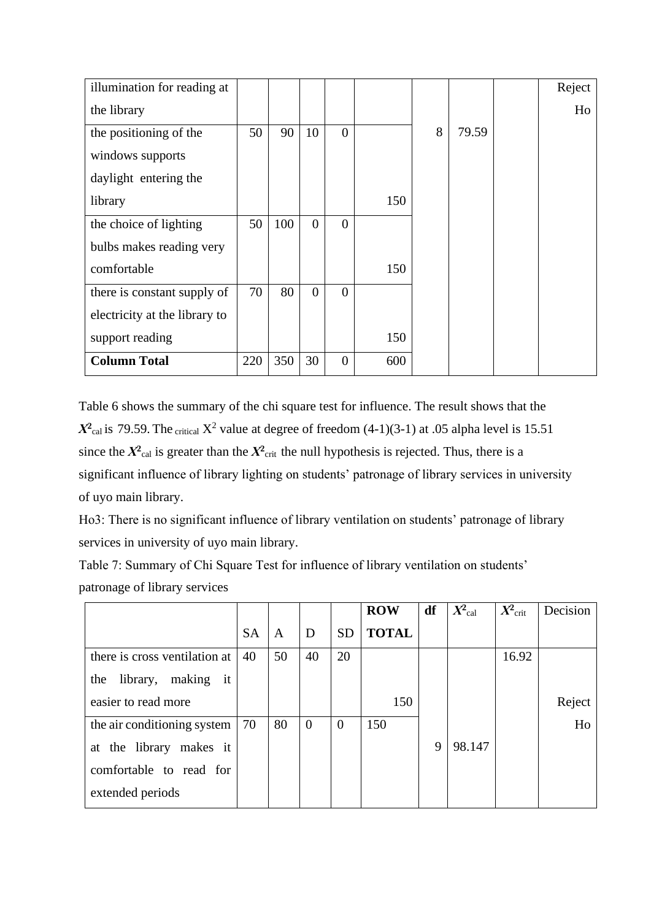| illumination for reading at   |     |     |                |                |     |   |       | Reject |
|-------------------------------|-----|-----|----------------|----------------|-----|---|-------|--------|
| the library                   |     |     |                |                |     |   |       | Ho     |
| the positioning of the        | 50  | 90  | 10             | $\overline{0}$ |     | 8 | 79.59 |        |
| windows supports              |     |     |                |                |     |   |       |        |
| daylight entering the         |     |     |                |                |     |   |       |        |
| library                       |     |     |                |                | 150 |   |       |        |
| the choice of lighting        | 50  | 100 | $\Omega$       | $\Omega$       |     |   |       |        |
| bulbs makes reading very      |     |     |                |                |     |   |       |        |
| comfortable                   |     |     |                |                | 150 |   |       |        |
| there is constant supply of   | 70  | 80  | $\overline{0}$ | $\overline{0}$ |     |   |       |        |
| electricity at the library to |     |     |                |                |     |   |       |        |
| support reading               |     |     |                |                | 150 |   |       |        |
| <b>Column Total</b>           | 220 | 350 | 30             | $\overline{0}$ | 600 |   |       |        |

Table 6 shows the summary of the chi square test for influence. The result shows that the  $X^2$ <sub>cal</sub> is 79.59. The critical  $X^2$  value at degree of freedom (4-1)(3-1) at .05 alpha level is 15.51 since the  $X^2$ <sub>cal</sub> is greater than the  $X^2$ <sub>crit</sub> the null hypothesis is rejected. Thus, there is a significant influence of library lighting on students' patronage of library services in university of uyo main library.

Ho3: There is no significant influence of library ventilation on students' patronage of library services in university of uyo main library.

Table 7: Summary of Chi Square Test for influence of library ventilation on students' patronage of library services

|                                 |           |    |    |           | <b>ROW</b>   | df | $X^2$ cal | $X^2$ crit | Decision |
|---------------------------------|-----------|----|----|-----------|--------------|----|-----------|------------|----------|
|                                 | <b>SA</b> | A  | D  | <b>SD</b> | <b>TOTAL</b> |    |           |            |          |
| there is cross ventilation at   | 40        | 50 | 40 | 20        |              |    |           | 16.92      |          |
| library,<br>making<br>it<br>the |           |    |    |           |              |    |           |            |          |
| easier to read more             |           |    |    |           | 150          |    |           |            | Reject   |
| the air conditioning system     | 70        | 80 | 0  | $\theta$  | 150          |    |           |            | Ho       |
| at the library makes it         |           |    |    |           |              | 9  | 98.147    |            |          |
| comfortable to read for         |           |    |    |           |              |    |           |            |          |
| extended periods                |           |    |    |           |              |    |           |            |          |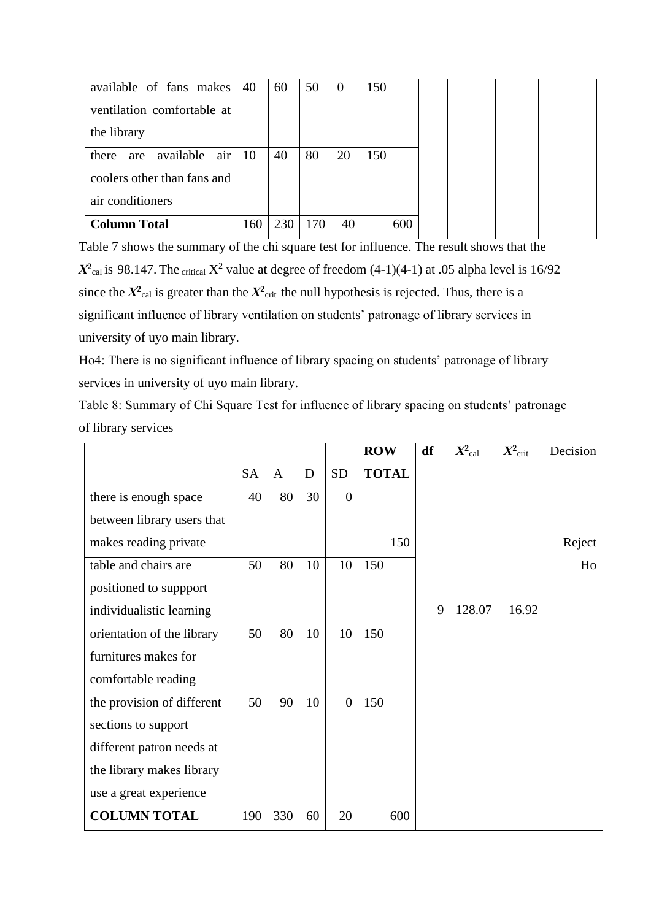| available of fans makes          | 40  | 60  | 50  | $\theta$ | 150 |  |  |
|----------------------------------|-----|-----|-----|----------|-----|--|--|
| ventilation comfortable at       |     |     |     |          |     |  |  |
| the library                      |     |     |     |          |     |  |  |
| air<br>available<br>there<br>are | 10  | 40  | 80  | 20       | 150 |  |  |
| coolers other than fans and      |     |     |     |          |     |  |  |
| air conditioners                 |     |     |     |          |     |  |  |
| <b>Column Total</b>              | 160 | 230 | 170 | 40       | 600 |  |  |

Table 7 shows the summary of the chi square test for influence. The result shows that the  $X^2$ <sub>cal</sub> is 98.147. The critical  $X^2$  value at degree of freedom (4-1)(4-1) at .05 alpha level is 16/92 since the  $X^2$ <sub>cal</sub> is greater than the  $X^2$ <sub>crit</sub> the null hypothesis is rejected. Thus, there is a significant influence of library ventilation on students' patronage of library services in university of uyo main library.

Ho4: There is no significant influence of library spacing on students' patronage of library services in university of uyo main library.

Table 8: Summary of Chi Square Test for influence of library spacing on students' patronage of library services

|                            |           |     |    |                | <b>ROW</b>   | df | $X_{\rm cal}^2$ | $X^2$ crit | Decision |
|----------------------------|-----------|-----|----|----------------|--------------|----|-----------------|------------|----------|
|                            | <b>SA</b> | A   | D  | <b>SD</b>      | <b>TOTAL</b> |    |                 |            |          |
| there is enough space      | 40        | 80  | 30 | $\overline{0}$ |              |    |                 |            |          |
| between library users that |           |     |    |                |              |    |                 |            |          |
| makes reading private      |           |     |    |                | 150          |    |                 |            | Reject   |
| table and chairs are       | 50        | 80  | 10 | 10             | 150          |    |                 |            | Ho       |
| positioned to suppport     |           |     |    |                |              |    |                 |            |          |
| individualistic learning   |           |     |    |                |              | 9  | 128.07          | 16.92      |          |
| orientation of the library | 50        | 80  | 10 | 10             | 150          |    |                 |            |          |
| furnitures makes for       |           |     |    |                |              |    |                 |            |          |
| comfortable reading        |           |     |    |                |              |    |                 |            |          |
| the provision of different | 50        | 90  | 10 | $\overline{0}$ | 150          |    |                 |            |          |
| sections to support        |           |     |    |                |              |    |                 |            |          |
| different patron needs at  |           |     |    |                |              |    |                 |            |          |
| the library makes library  |           |     |    |                |              |    |                 |            |          |
| use a great experience     |           |     |    |                |              |    |                 |            |          |
| <b>COLUMN TOTAL</b>        | 190       | 330 | 60 | 20             | 600          |    |                 |            |          |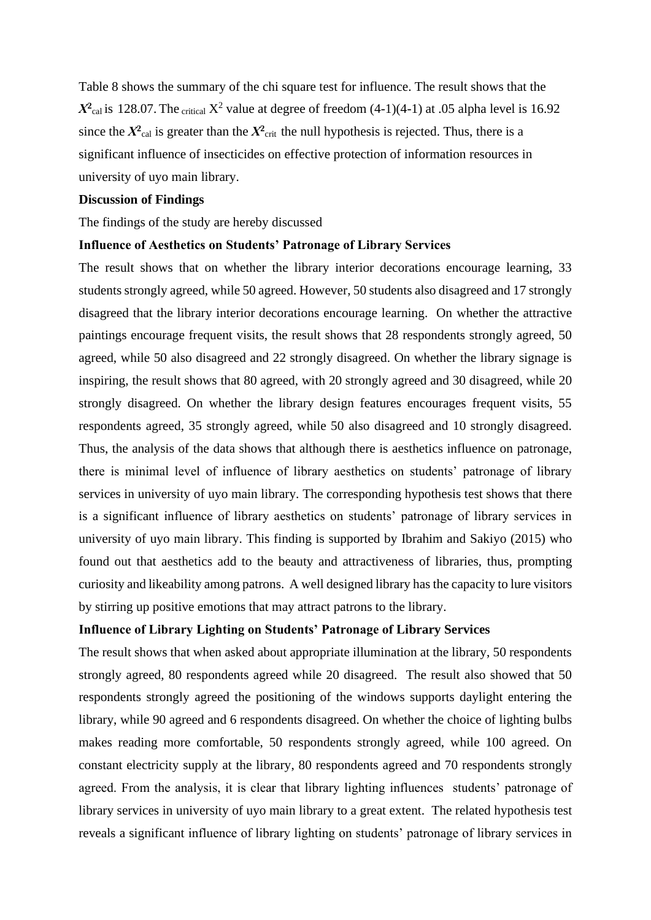Table 8 shows the summary of the chi square test for influence. The result shows that the  $X^2$ <sub>cal</sub> is 128.07. The critical  $X^2$  value at degree of freedom (4-1)(4-1) at .05 alpha level is 16.92 since the  $X^2$ <sub>cal</sub> is greater than the  $X^2$ <sub>crit</sub> the null hypothesis is rejected. Thus, there is a significant influence of insecticides on effective protection of information resources in university of uyo main library.

#### **Discussion of Findings**

The findings of the study are hereby discussed

#### **Influence of Aesthetics on Students' Patronage of Library Services**

The result shows that on whether the library interior decorations encourage learning, 33 students strongly agreed, while 50 agreed. However, 50 students also disagreed and 17 strongly disagreed that the library interior decorations encourage learning. On whether the attractive paintings encourage frequent visits, the result shows that 28 respondents strongly agreed, 50 agreed, while 50 also disagreed and 22 strongly disagreed. On whether the library signage is inspiring, the result shows that 80 agreed, with 20 strongly agreed and 30 disagreed, while 20 strongly disagreed. On whether the library design features encourages frequent visits, 55 respondents agreed, 35 strongly agreed, while 50 also disagreed and 10 strongly disagreed. Thus, the analysis of the data shows that although there is aesthetics influence on patronage, there is minimal level of influence of library aesthetics on students' patronage of library services in university of uyo main library. The corresponding hypothesis test shows that there is a significant influence of library aesthetics on students' patronage of library services in university of uyo main library. This finding is supported by Ibrahim and Sakiyo (2015) who found out that aesthetics add to the beauty and attractiveness of libraries, thus, prompting curiosity and likeability among patrons. A well designed library has the capacity to lure visitors by stirring up positive emotions that may attract patrons to the library.

## **Influence of Library Lighting on Students' Patronage of Library Services**

The result shows that when asked about appropriate illumination at the library, 50 respondents strongly agreed, 80 respondents agreed while 20 disagreed. The result also showed that 50 respondents strongly agreed the positioning of the windows supports daylight entering the library, while 90 agreed and 6 respondents disagreed. On whether the choice of lighting bulbs makes reading more comfortable, 50 respondents strongly agreed, while 100 agreed. On constant electricity supply at the library, 80 respondents agreed and 70 respondents strongly agreed. From the analysis, it is clear that library lighting influences students' patronage of library services in university of uyo main library to a great extent. The related hypothesis test reveals a significant influence of library lighting on students' patronage of library services in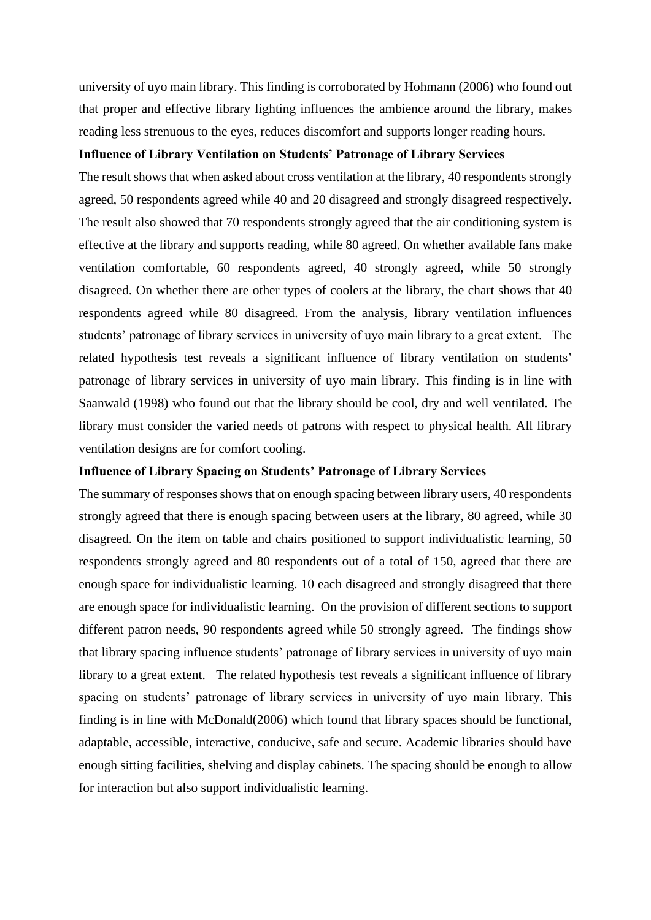university of uyo main library. This finding is corroborated by Hohmann (2006) who found out that proper and effective library lighting influences the ambience around the library, makes reading less strenuous to the eyes, reduces discomfort and supports longer reading hours.

## **Influence of Library Ventilation on Students' Patronage of Library Services**

The result shows that when asked about cross ventilation at the library, 40 respondents strongly agreed, 50 respondents agreed while 40 and 20 disagreed and strongly disagreed respectively. The result also showed that 70 respondents strongly agreed that the air conditioning system is effective at the library and supports reading, while 80 agreed. On whether available fans make ventilation comfortable, 60 respondents agreed, 40 strongly agreed, while 50 strongly disagreed. On whether there are other types of coolers at the library, the chart shows that 40 respondents agreed while 80 disagreed. From the analysis, library ventilation influences students' patronage of library services in university of uyo main library to a great extent. The related hypothesis test reveals a significant influence of library ventilation on students' patronage of library services in university of uyo main library. This finding is in line with Saanwald (1998) who found out that the library should be cool, dry and well ventilated. The library must consider the varied needs of patrons with respect to physical health. All library ventilation designs are for comfort cooling.

## **Influence of Library Spacing on Students' Patronage of Library Services**

The summary of responses shows that on enough spacing between library users, 40 respondents strongly agreed that there is enough spacing between users at the library, 80 agreed, while 30 disagreed. On the item on table and chairs positioned to support individualistic learning, 50 respondents strongly agreed and 80 respondents out of a total of 150, agreed that there are enough space for individualistic learning. 10 each disagreed and strongly disagreed that there are enough space for individualistic learning. On the provision of different sections to support different patron needs, 90 respondents agreed while 50 strongly agreed. The findings show that library spacing influence students' patronage of library services in university of uyo main library to a great extent. The related hypothesis test reveals a significant influence of library spacing on students' patronage of library services in university of uyo main library. This finding is in line with McDonald(2006) which found that library spaces should be functional, adaptable, accessible, interactive, conducive, safe and secure. Academic libraries should have enough sitting facilities, shelving and display cabinets. The spacing should be enough to allow for interaction but also support individualistic learning.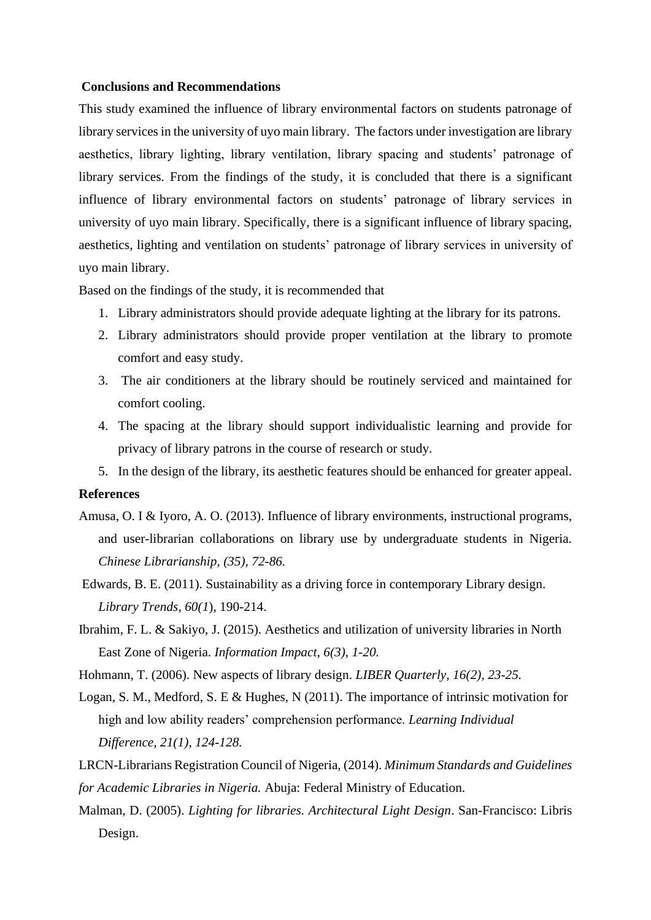#### **Conclusions and Recommendations**

This study examined the influence of library environmental factors on students patronage of library services in the university of uyo main library. The factors under investigation are library aesthetics, library lighting, library ventilation, library spacing and students' patronage of library services. From the findings of the study, it is concluded that there is a significant influence of library environmental factors on students' patronage of library services in university of uyo main library. Specifically, there is a significant influence of library spacing, aesthetics, lighting and ventilation on students' patronage of library services in university of uyo main library.

Based on the findings of the study, it is recommended that

- 1. Library administrators should provide adequate lighting at the library for its patrons.
- 2. Library administrators should provide proper ventilation at the library to promote comfort and easy study.
- 3. The air conditioners at the library should be routinely serviced and maintained for comfort cooling.
- 4. The spacing at the library should support individualistic learning and provide for privacy of library patrons in the course of research or study.
- 5. In the design of the library, its aesthetic features should be enhanced for greater appeal.

#### **References**

- Amusa, O. I & Iyoro, A. O. (2013). Influence of library environments, instructional programs, and user-librarian collaborations on library use by undergraduate students in Nigeria. *Chinese Librarianship, (35), 72-86.*
- Edwards, B. E. (2011). Sustainability as a driving force in contemporary Library design. *Library Trends, 60(1*), 190-214.
- Ibrahim, F. L. & Sakiyo, J. (2015). Aesthetics and utilization of university libraries in North East Zone of Nigeria. *Information Impact, 6(3), 1-20.*
- Hohmann, T. (2006). New aspects of library design. *LIBER Quarterly, 16(2), 23-25.*
- Logan, S. M., Medford, S. E & Hughes, N (2011). The importance of intrinsic motivation for high and low ability readers' comprehension performance. *Learning Individual Difference, 21(1), 124-128.*
- LRCN-Librarians Registration Council of Nigeria, (2014). *Minimum Standards and Guidelines for Academic Libraries in Nigeria.* Abuja: Federal Ministry of Education.
- Malman, D. (2005). *Lighting for libraries. Architectural Light Design*. San-Francisco: Libris Design.